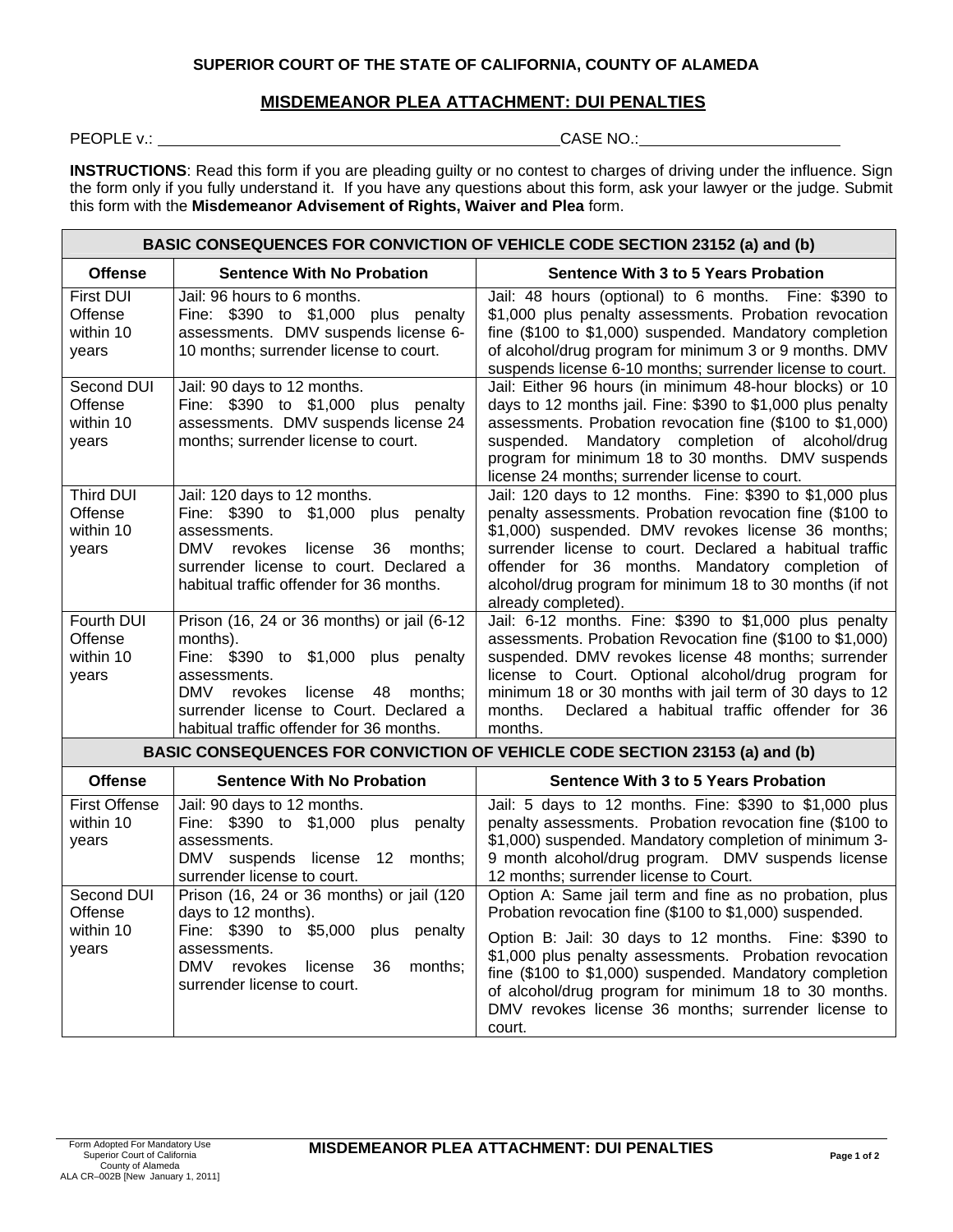## **SUPERIOR COURT OF THE STATE OF CALIFORNIA, COUNTY OF ALAMEDA**

## **MISDEMEANOR PLEA ATTACHMENT: DUI PENALTIES**

PEOPLE v.: **CASE NO.:** CASE NO.:

**INSTRUCTIONS**: Read this form if you are pleading guilty or no contest to charges of driving under the influence. Sign the form only if you fully understand it. If you have any questions about this form, ask your lawyer or the judge. Submit this form with the **Misdemeanor Advisement of Rights, Waiver and Plea** form.

#### **BASIC CONSEQUENCES FOR CONVICTION OF VEHICLE CODE SECTION 23152 (a) and (b) Offense Sentence With No Probation Sentence With 3 to 5 Years Probation** First DUI Offense within 10 years Jail: 96 hours to 6 months. Fine: \$390 to \$1,000 plus penalty assessments. DMV suspends license 6- 10 months; surrender license to court. Jail: 48 hours (optional) to 6 months. Fine: \$390 to \$1,000 plus penalty assessments. Probation revocation fine (\$100 to \$1,000) suspended. Mandatory completion of alcohol/drug program for minimum 3 or 9 months. DMV suspends license 6-10 months; surrender license to court. Second DUI **Offense** within 10 years Jail: 90 days to 12 months. Fine: \$390 to \$1,000 plus penalty assessments. DMV suspends license 24 months; surrender license to court. Jail: Either 96 hours (in minimum 48-hour blocks) or 10 days to 12 months jail. Fine: \$390 to \$1,000 plus penalty assessments. Probation revocation fine (\$100 to \$1,000) suspended. Mandatory completion of alcohol/drug program for minimum 18 to 30 months. DMV suspends license 24 months; surrender license to court. Third DUI **Offense** within 10 years Jail: 120 days to 12 months. Fine: \$390 to \$1,000 plus penalty assessments. DMV revokes license 36 months; surrender license to court. Declared a habitual traffic offender for 36 months. Jail: 120 days to 12 months. Fine: \$390 to \$1,000 plus penalty assessments. Probation revocation fine (\$100 to \$1,000) suspended. DMV revokes license 36 months; surrender license to court. Declared a habitual traffic offender for 36 months. Mandatory completion of alcohol/drug program for minimum 18 to 30 months (if not already completed). Fourth DUI Offense within 10 years Prison (16, 24 or 36 months) or jail (6-12 months). Fine: \$390 to \$1,000 plus penalty assessments. DMV revokes license 48 months: surrender license to Court. Declared a habitual traffic offender for 36 months. Jail: 6-12 months. Fine: \$390 to \$1,000 plus penalty assessments. Probation Revocation fine (\$100 to \$1,000) suspended. DMV revokes license 48 months; surrender license to Court. Optional alcohol/drug program for minimum 18 or 30 months with jail term of 30 days to 12 months. Declared a habitual traffic offender for 36 months. **BASIC CONSEQUENCES FOR CONVICTION OF VEHICLE CODE SECTION 23153 (a) and (b) Offense Sentence With No Probation Sentence With 3 to 5 Years Probation** First Offense within 10 years Jail: 90 days to 12 months. Fine: \$390 to \$1,000 plus penalty assessments. DMV suspends license 12 months: surrender license to court. Jail: 5 days to 12 months. Fine: \$390 to \$1,000 plus penalty assessments. Probation revocation fine (\$100 to \$1,000) suspended. Mandatory completion of minimum 3- 9 month alcohol/drug program. DMV suspends license 12 months; surrender license to Court. Second DUI Offense within 10 Prison (16, 24 or 36 months) or jail (120 days to 12 months). Fine: \$390 to \$5,000 plus penalty Option A: Same jail term and fine as no probation, plus Probation revocation fine (\$100 to \$1,000) suspended.

assessments. DMV revokes license 36 months; surrender license to court. Option B: Jail: 30 days to 12 months. Fine: \$390 to \$1,000 plus penalty assessments. Probation revocation fine (\$100 to \$1,000) suspended. Mandatory completion of alcohol/drug program for minimum 18 to 30 months. DMV revokes license 36 months; surrender license to court.

years